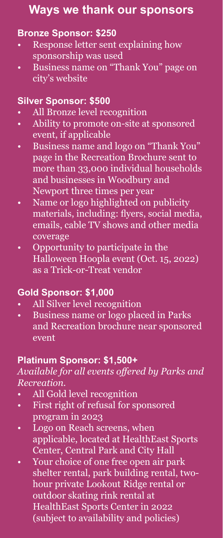# **Ways we thank our sponsors**

#### **Bronze Sponsor: \$250**

- Response letter sent explaining how sponsorship was used
- Business name on "Thank You" page on city's website

#### **Silver Sponsor: \$500**

- All Bronze level recognition
- Ability to promote on-site at sponsored event, if applicable
- Business name and logo on "Thank You" page in the Recreation Brochure sent to more than 33,000 individual households and businesses in Woodbury and Newport three times per year
- Name or logo highlighted on publicity materials, including: flyers, social media, emails, cable TV shows and other media coverage
- Opportunity to participate in the Halloween Hoopla event (Oct. 15, 2022) as a Trick-or-Treat vendor

#### **Gold Sponsor: \$1,000**

- All Silver level recognition
- Business name or logo placed in Parks and Recreation brochure near sponsored event

#### **Platinum Sponsor: \$1,500+**

#### *Available for all events offered by Parks and Recreation.*

- All Gold level recognition
- First right of refusal for sponsored program in 2023
- Logo on Reach screens, when applicable, located at HealthEast Sports Center, Central Park and City Hall
- Your choice of one free open air park shelter rental, park building rental, twohour private Lookout Ridge rental or outdoor skating rink rental at HealthEast Sports Center in 2022 (subject to availability and policies)